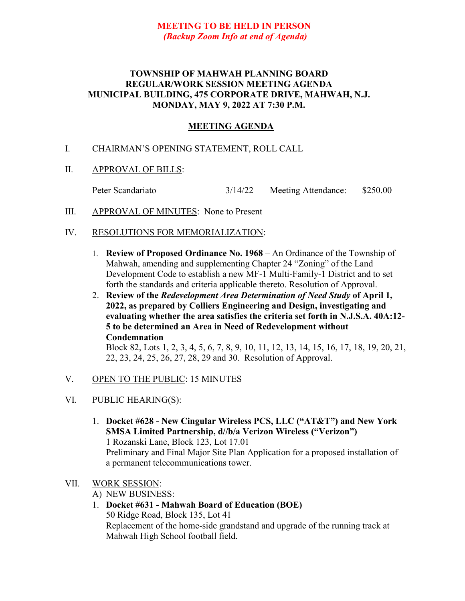## **MEETING TO BE HELD IN PERSON** *(Backup Zoom Info at end of Agenda)*

### **TOWNSHIP OF MAHWAH PLANNING BOARD REGULAR/WORK SESSION MEETING AGENDA MUNICIPAL BUILDING, 475 CORPORATE DRIVE, MAHWAH, N.J. MONDAY, MAY 9, 2022 AT 7:30 P.M.**

# **MEETING AGENDA**

- I. CHAIRMAN'S OPENING STATEMENT, ROLL CALL
- II. APPROVAL OF BILLS:
	- Peter Scandariato 3/14/22 Meeting Attendance: \$250.00
- III. APPROVAL OF MINUTES: None to Present
- IV. RESOLUTIONS FOR MEMORIALIZATION:
	- 1. **Review of Proposed Ordinance No. 1968** An Ordinance of the Township of Mahwah, amending and supplementing Chapter 24 "Zoning" of the Land Development Code to establish a new MF-1 Multi-Family-1 District and to set forth the standards and criteria applicable thereto. Resolution of Approval.
	- 2. **Review of the** *Redevelopment Area Determination of Need Study* **of April 1, 2022, as prepared by Colliers Engineering and Design, investigating and evaluating whether the area satisfies the criteria set forth in N.J.S.A. 40A:12- 5 to be determined an Area in Need of Redevelopment without Condemnation**

Block 82, Lots 1, 2, 3, 4, 5, 6, 7, 8, 9, 10, 11, 12, 13, 14, 15, 16, 17, 18, 19, 20, 21, 22, 23, 24, 25, 26, 27, 28, 29 and 30. Resolution of Approval.

- V. OPEN TO THE PUBLIC: 15 MINUTES
- VI. PUBLIC HEARING(S):
	- 1. **Docket #628 - New Cingular Wireless PCS, LLC ("AT&T") and New York SMSA Limited Partnership, d//b/a Verizon Wireless ("Verizon")** 1 Rozanski Lane, Block 123, Lot 17.01 Preliminary and Final Major Site Plan Application for a proposed installation of a permanent telecommunications tower.
- VII. WORK SESSION:
	- A) NEW BUSINESS:
	- 1. **Docket #631 - Mahwah Board of Education (BOE)**

50 Ridge Road, Block 135, Lot 41 Replacement of the home-side grandstand and upgrade of the running track at Mahwah High School football field.